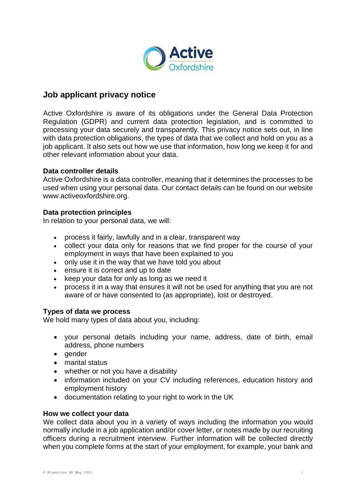

# **Job applicant privacy notice**

Active Oxfordshire is aware of its obligations under the General Data Protection Regulation (GDPR) and current data protection legislation, and is committed to processing your data securely and transparently. This privacy notice sets out, in line with data protection obligations, the types of data that we collect and hold on you as a job applicant. It also sets out how we use that information, how long we keep it for and other relevant information about your data.

### **Data controller details**

Active Oxfordshire is a data controller, meaning that it determines the processes to be used when using your personal data. Our contact details can be found on our website www.activeoxfordshire.org.

# **Data protection principles**

In relation to your personal data, we will:

- process it fairly, lawfully and in a clear, transparent way
- collect your data only for reasons that we find proper for the course of your employment in ways that have been explained to you
- only use it in the way that we have told you about
- ensure it is correct and up to date
- keep your data for only as long as we need it
- process it in a way that ensures it will not be used for anything that you are not aware of or have consented to (as appropriate), lost or destroyed.

# **Types of data we process**

We hold many types of data about you, including:

- your personal details including your name, address, date of birth, email address, phone numbers
- gender
- marital status
- whether or not you have a disability
- information included on your CV including references, education history and employment history
- documentation relating to your right to work in the UK

### **How we collect your data**

We collect data about you in a variety of ways including the information you would normally include in a job application and/or cover letter, or notes made by our recruiting officers during a recruitment interview. Further information will be collected directly when you complete forms at the start of your employment, for example, your bank and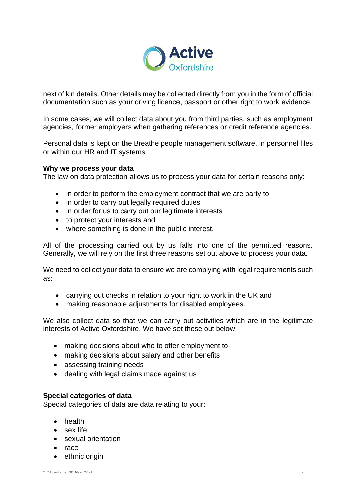

next of kin details. Other details may be collected directly from you in the form of official documentation such as your driving licence, passport or other right to work evidence.

In some cases, we will collect data about you from third parties, such as employment agencies, former employers when gathering references or credit reference agencies.

Personal data is kept on the Breathe people management software, in personnel files or within our HR and IT systems.

### **Why we process your data**

The law on data protection allows us to process your data for certain reasons only:

- in order to perform the employment contract that we are party to
- in order to carry out legally required duties
- in order for us to carry out our legitimate interests
- to protect your interests and
- where something is done in the public interest.

All of the processing carried out by us falls into one of the permitted reasons. Generally, we will rely on the first three reasons set out above to process your data.

We need to collect your data to ensure we are complying with legal requirements such as:

- carrying out checks in relation to your right to work in the UK and
- making reasonable adjustments for disabled employees.

We also collect data so that we can carry out activities which are in the legitimate interests of Active Oxfordshire. We have set these out below:

- making decisions about who to offer employment to
- making decisions about salary and other benefits
- assessing training needs
- dealing with legal claims made against us

### **Special categories of data**

Special categories of data are data relating to your:

- health
- sex life
- sexual orientation
- race
- ethnic origin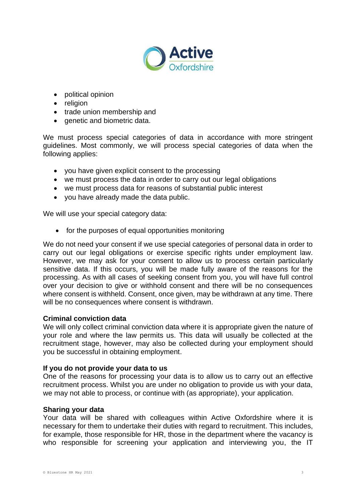

- political opinion
- religion
- trade union membership and
- genetic and biometric data.

We must process special categories of data in accordance with more stringent guidelines. Most commonly, we will process special categories of data when the following applies:

- you have given explicit consent to the processing
- we must process the data in order to carry out our legal obligations
- we must process data for reasons of substantial public interest
- you have already made the data public.

We will use your special category data:

• for the purposes of equal opportunities monitoring

We do not need your consent if we use special categories of personal data in order to carry out our legal obligations or exercise specific rights under employment law. However, we may ask for your consent to allow us to process certain particularly sensitive data. If this occurs, you will be made fully aware of the reasons for the processing. As with all cases of seeking consent from you, you will have full control over your decision to give or withhold consent and there will be no consequences where consent is withheld. Consent, once given, may be withdrawn at any time. There will be no consequences where consent is withdrawn.

### **Criminal conviction data**

We will only collect criminal conviction data where it is appropriate given the nature of your role and where the law permits us. This data will usually be collected at the recruitment stage, however, may also be collected during your employment should you be successful in obtaining employment.

#### **If you do not provide your data to us**

One of the reasons for processing your data is to allow us to carry out an effective recruitment process. Whilst you are under no obligation to provide us with your data, we may not able to process, or continue with (as appropriate), your application.

### **Sharing your data**

Your data will be shared with colleagues within Active Oxfordshire where it is necessary for them to undertake their duties with regard to recruitment. This includes, for example, those responsible for HR, those in the department where the vacancy is who responsible for screening your application and interviewing you, the IT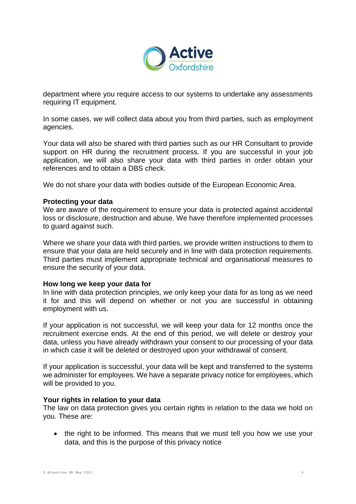

department where you require access to our systems to undertake any assessments requiring IT equipment.

In some cases, we will collect data about you from third parties, such as employment agencies.

Your data will also be shared with third parties such as our HR Consultant to provide support on HR during the recruitment process. If you are successful in your job application, we will also share your data with third parties in order obtain your references and to obtain a DBS check.

We do not share your data with bodies outside of the European Economic Area.

### **Protecting your data**

We are aware of the requirement to ensure your data is protected against accidental loss or disclosure, destruction and abuse. We have therefore implemented processes to guard against such.

Where we share your data with third parties, we provide written instructions to them to ensure that your data are held securely and in line with data protection requirements. Third parties must implement appropriate technical and organisational measures to ensure the security of your data.

### **How long we keep your data for**

In line with data protection principles, we only keep your data for as long as we need it for and this will depend on whether or not you are successful in obtaining employment with us.

If your application is not successful, we will keep your data for 12 months once the recruitment exercise ends. At the end of this period, we will delete or destroy your data, unless you have already withdrawn your consent to our processing of your data in which case it will be deleted or destroyed upon your withdrawal of consent.

If your application is successful, your data will be kept and transferred to the systems we administer for employees. We have a separate privacy notice for employees, which will be provided to you.

### **Your rights in relation to your data**

The law on data protection gives you certain rights in relation to the data we hold on you. These are:

• the right to be informed. This means that we must tell you how we use your data, and this is the purpose of this privacy notice